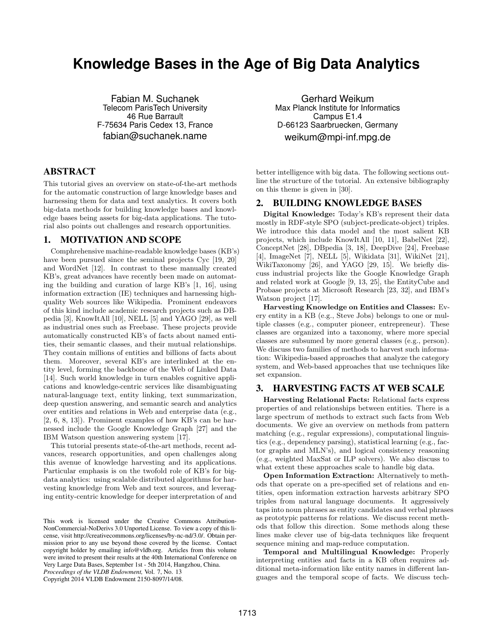# **Knowledge Bases in the Age of Big Data Analytics**

Fabian M. Suchanek Telecom ParisTech University 46 Rue Barrault F-75634 Paris Cedex 13, France fabian@suchanek.name

## ABSTRACT

This tutorial gives an overview on state-of-the-art methods for the automatic construction of large knowledge bases and harnessing them for data and text analytics. It covers both big-data methods for building knowledge bases and knowledge bases being assets for big-data applications. The tutorial also points out challenges and research opportunities.

#### 1. MOTIVATION AND SCOPE

Comphrehensive machine-readable knowledge bases (KB's) have been pursued since the seminal projects Cyc [19, 20] and WordNet [12]. In contrast to these manually created KB's, great advances have recently been made on automating the building and curation of large KB's [1, 16], using information extraction (IE) techniques and harnessing highquality Web sources like Wikipedia. Prominent endeavors of this kind include academic research projects such as DBpedia [3], KnowItAll [10], NELL [5] and YAGO [29], as well as industrial ones such as Freebase. These projects provide automatically constructed KB's of facts about named entities, their semantic classes, and their mutual relationships. They contain millions of entities and billions of facts about them. Moreover, several KB's are interlinked at the entity level, forming the backbone of the Web of Linked Data [14]. Such world knowledge in turn enables cognitive applications and knowledge-centric services like disambiguating natural-language text, entity linking, text summarization, deep question answering, and semantic search and analytics over entities and relations in Web and enterprise data (e.g., [2, 6, 8, 13]). Prominent examples of how KB's can be harnessed include the Google Knowledge Graph [27] and the IBM Watson question answering system [17].

This tutorial presents state-of-the-art methods, recent advances, research opportunities, and open challenges along this avenue of knowledge harvesting and its applications. Particular emphasis is on the twofold role of KB's for bigdata analytics: using scalable distributed algorithms for harvesting knowledge from Web and text sources, and leveraging entity-centric knowledge for deeper interpretation of and

*Proceedings of the VLDB Endowment,* Vol. 7, No. 13

Copyright 2014 VLDB Endowment 2150-8097/14/08.

Gerhard Weikum Max Planck Institute for Informatics Campus E1.4 D-66123 Saarbruecken, Germany weikum@mpi-inf.mpg.de

better intelligence with big data. The following sections outline the structure of the tutorial. An extensive bibliography on this theme is given in [30].

## 2. BUILDING KNOWLEDGE BASES

Digital Knowledge: Today's KB's represent their data mostly in RDF-style SPO (subject-predicate-object) triples. We introduce this data model and the most salient KB projects, which include KnowItAll [10, 11], BabelNet [22], ConceptNet [28], DBpedia [3, 18], DeepDive [24], Freebase [4], ImageNet [7], NELL [5], Wikidata [31], WikiNet [21], WikiTaxonomy [26], and YAGO [29, 15]. We briefly discuss industrial projects like the Google Knowledge Graph and related work at Google [9, 13, 25], the EntityCube and Probase projects at Microsoft Research [23, 32], and IBM's Watson project [17].

Harvesting Knowledge on Entities and Classes: Every entity in a KB (e.g., Steve Jobs) belongs to one or multiple classes (e.g., computer pioneer, entrepreneur). These classes are organized into a taxonomy, where more special classes are subsumed by more general classes (e.g., person). We discuss two families of methods to harvest such information: Wikipedia-based approaches that analyze the category system, and Web-based approaches that use techniques like set expansion.

## 3. HARVESTING FACTS AT WEB SCALE

Harvesting Relational Facts: Relational facts express properties of and relationships between entities. There is a large spectrum of methods to extract such facts from Web documents. We give an overview on methods from pattern matching (e.g., regular expressions), computational linguistics (e.g., dependency parsing), statistical learning (e.g., factor graphs and MLN's), and logical consistency reasoning (e.g., weighted MaxSat or ILP solvers). We also discuss to what extent these approaches scale to handle big data.

Open Information Extraction: Alternatively to methods that operate on a pre-specified set of relations and entities, open information extraction harvests arbitrary SPO triples from natural language documents. It aggressively taps into noun phrases as entity candidates and verbal phrases as prototypic patterns for relations. We discuss recent methods that follow this direction. Some methods along these lines make clever use of big-data techniques like frequent sequence mining and map-reduce computation.

Temporal and Multilingual Knowledge: Properly interpreting entities and facts in a KB often requires additional meta-information like entity names in different languages and the temporal scope of facts. We discuss tech-

This work is licensed under the Creative Commons Attribution-NonCommercial-NoDerivs 3.0 Unported License. To view a copy of this license, visit http://creativecommons.org/licenses/by-nc-nd/3.0/. Obtain permission prior to any use beyond those covered by the license. Contact copyright holder by emailing info@vldb.org. Articles from this volume were invited to present their results at the 40th International Conference on Very Large Data Bases, September 1st - 5th 2014, Hangzhou, China.